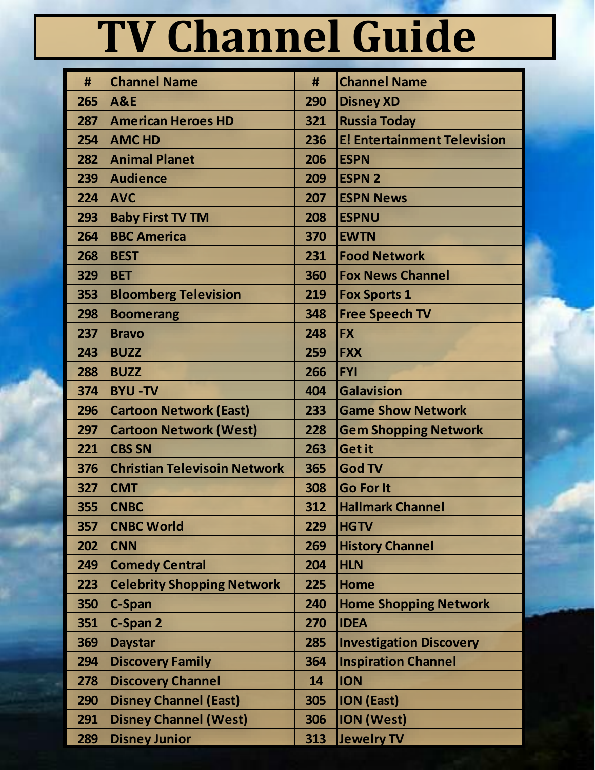## **TV Channel Guide**

| #   | <b>Channel Name</b>                 | #   | <b>Channel Name</b>                |
|-----|-------------------------------------|-----|------------------------------------|
| 265 | <b>A&amp;E</b>                      | 290 | <b>Disney XD</b>                   |
| 287 | <b>American Heroes HD</b>           | 321 | <b>Russia Today</b>                |
| 254 | <b>AMC HD</b>                       | 236 | <b>E! Entertainment Television</b> |
| 282 | <b>Animal Planet</b>                | 206 | <b>ESPN</b>                        |
| 239 | <b>Audience</b>                     | 209 | <b>ESPN 2</b>                      |
| 224 | <b>AVC</b>                          | 207 | <b>ESPN News</b>                   |
| 293 | <b>Baby First TV TM</b>             | 208 | <b>ESPNU</b>                       |
| 264 | <b>BBC America</b>                  | 370 | <b>EWTN</b>                        |
| 268 | <b>BEST</b>                         | 231 | <b>Food Network</b>                |
| 329 | <b>BET</b>                          | 360 | <b>Fox News Channel</b>            |
| 353 | <b>Bloomberg Television</b>         | 219 | <b>Fox Sports 1</b>                |
| 298 | <b>Boomerang</b>                    | 348 | <b>Free Speech TV</b>              |
| 237 | <b>Bravo</b>                        | 248 | <b>FX</b>                          |
| 243 | <b>BUZZ</b>                         | 259 | <b>FXX</b>                         |
| 288 | <b>BUZZ</b>                         | 266 | <b>FYI</b>                         |
| 374 | <b>BYU-TV</b>                       | 404 | <b>Galavision</b>                  |
| 296 | <b>Cartoon Network (East)</b>       | 233 | <b>Game Show Network</b>           |
| 297 | <b>Cartoon Network (West)</b>       | 228 | <b>Gem Shopping Network</b>        |
| 221 | <b>CBS SN</b>                       | 263 | <b>Get it</b>                      |
| 376 | <b>Christian Televisoin Network</b> | 365 | <b>God TV</b>                      |
| 327 | <b>CMT</b>                          | 308 | <b>Go For It</b>                   |
| 355 | <b>CNBC</b>                         | 312 | <b>Hallmark Channel</b>            |
| 357 | <b>CNBC World</b>                   | 229 | <b>HGTV</b>                        |
| 202 | <b>CNN</b>                          | 269 | <b>History Channel</b>             |
| 249 | <b>Comedy Central</b>               | 204 | <b>HLN</b>                         |
| 223 | <b>Celebrity Shopping Network</b>   | 225 | <b>Home</b>                        |
| 350 | C-Span                              | 240 | <b>Home Shopping Network</b>       |
| 351 | C-Span 2                            | 270 | <b>IDEA</b>                        |
| 369 | <b>Daystar</b>                      | 285 | <b>Investigation Discovery</b>     |
| 294 | <b>Discovery Family</b>             | 364 | <b>Inspiration Channel</b>         |
| 278 | <b>Discovery Channel</b>            | 14  | <b>ION</b>                         |
| 290 | <b>Disney Channel (East)</b>        | 305 | <b>ION (East)</b>                  |
| 291 | <b>Disney Channel (West)</b>        | 306 | <b>ION (West)</b>                  |
| 289 | <b>Disney Junior</b>                | 313 | <b>Jewelry TV</b>                  |